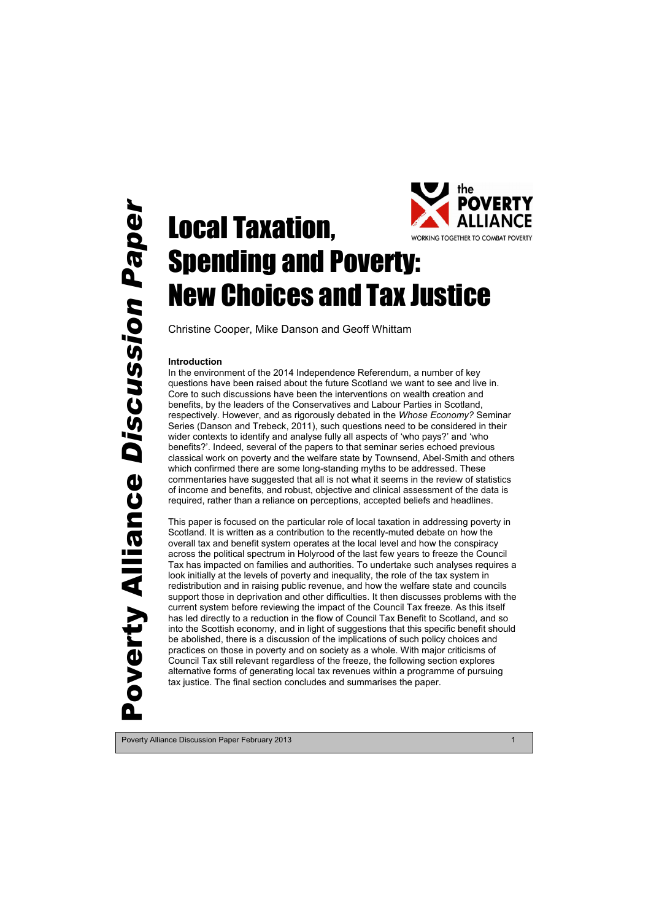

# Local Taxation, Spending and Poverty: New Choices and Tax Justice

Christine Cooper, Mike Danson and Geoff Whittam

# **Introduction**

In the environment of the 2014 Independence Referendum, a number of key questions have been raised about the future Scotland we want to see and live in. Core to such discussions have been the interventions on wealth creation and benefits, by the leaders of the Conservatives and Labour Parties in Scotland, respectively. However, and as rigorously debated in the *Whose Economy?* Seminar Series (Danson and Trebeck, 2011), such questions need to be considered in their wider contexts to identify and analyse fully all aspects of 'who pays?' and 'who benefits?'. Indeed, several of the papers to that seminar series echoed previous classical work on poverty and the welfare state by Townsend, Abel-Smith and others which confirmed there are some long-standing myths to be addressed. These commentaries have suggested that all is not what it seems in the review of statistics of income and benefits, and robust, objective and clinical assessment of the data is required, rather than a reliance on perceptions, accepted beliefs and headlines.

This paper is focused on the particular role of local taxation in addressing poverty in Scotland. It is written as a contribution to the recently-muted debate on how the overall tax and benefit system operates at the local level and how the conspiracy across the political spectrum in Holyrood of the last few years to freeze the Council Tax has impacted on families and authorities. To undertake such analyses requires a look initially at the levels of poverty and inequality, the role of the tax system in redistribution and in raising public revenue, and how the welfare state and councils support those in deprivation and other difficulties. It then discusses problems with the current system before reviewing the impact of the Council Tax freeze. As this itself has led directly to a reduction in the flow of Council Tax Benefit to Scotland, and so into the Scottish economy, and in light of suggestions that this specific benefit should be abolished, there is a discussion of the implications of such policy choices and practices on those in poverty and on society as a whole. With major criticisms of Council Tax still relevant regardless of the freeze, the following section explores alternative forms of generating local tax revenues within a programme of pursuing tax justice. The final section concludes and summarises the paper.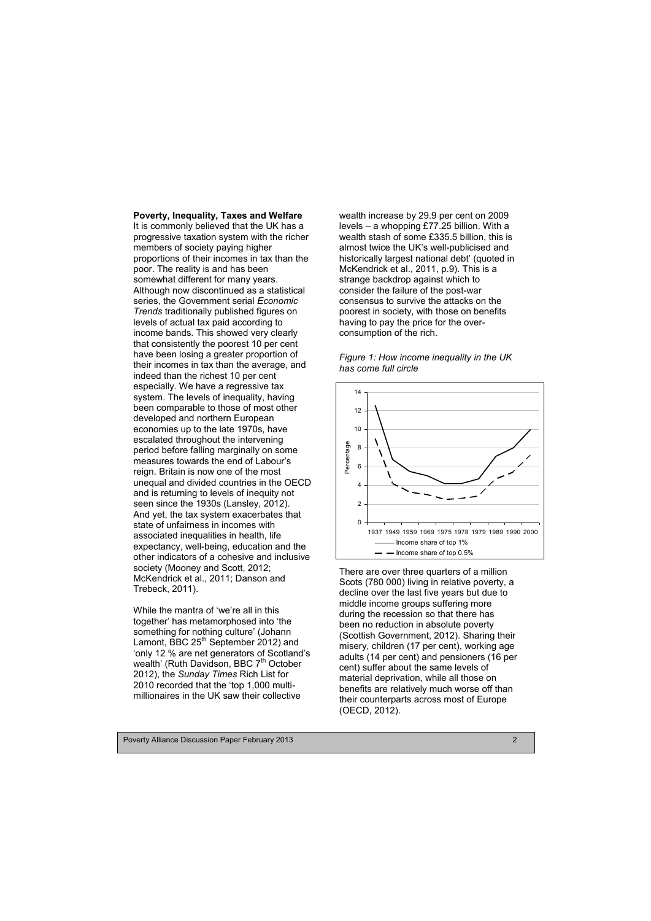#### **Poverty, Inequality, Taxes and Welfare**

It is commonly believed that the UK has a progressive taxation system with the richer members of society paying higher proportions of their incomes in tax than the poor. The reality is and has been somewhat different for many years. Although now discontinued as a statistical series, the Government serial *Economic Trends* traditionally published figures on levels of actual tax paid according to income bands. This showed very clearly that consistently the poorest 10 per cent have been losing a greater proportion of their incomes in tax than the average, and indeed than the richest 10 per cent especially. We have a regressive tax system. The levels of inequality, having been comparable to those of most other developed and northern European economies up to the late 1970s, have escalated throughout the intervening period before falling marginally on some measures towards the end of Labour's reign. Britain is now one of the most unequal and divided countries in the OECD and is returning to levels of inequity not seen since the 1930s (Lansley, 2012). And yet, the tax system exacerbates that state of unfairness in incomes with associated inequalities in health, life expectancy, well-being, education and the other indicators of a cohesive and inclusive society (Mooney and Scott, 2012; McKendrick et al., 2011; Danson and Trebeck, 2011).

While the mantra of 'we're all in this together' has metamorphosed into 'the something for nothing culture' (Johann Lamont, BBC 25<sup>th</sup> September 2012) and 'only 12 % are net generators of Scotland's wealth' (Ruth Davidson, BBC  $7<sup>th</sup>$  October 2012), the *Sunday Times* Rich List for 2010 recorded that the 'top 1,000 multimillionaires in the UK saw their collective

wealth increase by 29.9 per cent on 2009 levels – a whopping £77.25 billion. With a wealth stash of some £335.5 billion, this is almost twice the UK's well-publicised and historically largest national debt' (quoted in McKendrick et al., 2011, p.9). This is a strange backdrop against which to consider the failure of the post-war consensus to survive the attacks on the poorest in society, with those on benefits having to pay the price for the overconsumption of the rich.





There are over three quarters of a million Scots (780 000) living in relative poverty, a decline over the last five years but due to middle income groups suffering more during the recession so that there has been no reduction in absolute poverty (Scottish Government, 2012). Sharing their misery, children (17 per cent), working age adults (14 per cent) and pensioners (16 per cent) suffer about the same levels of material deprivation, while all those on benefits are relatively much worse off than their counterparts across most of Europe (OECD, 2012).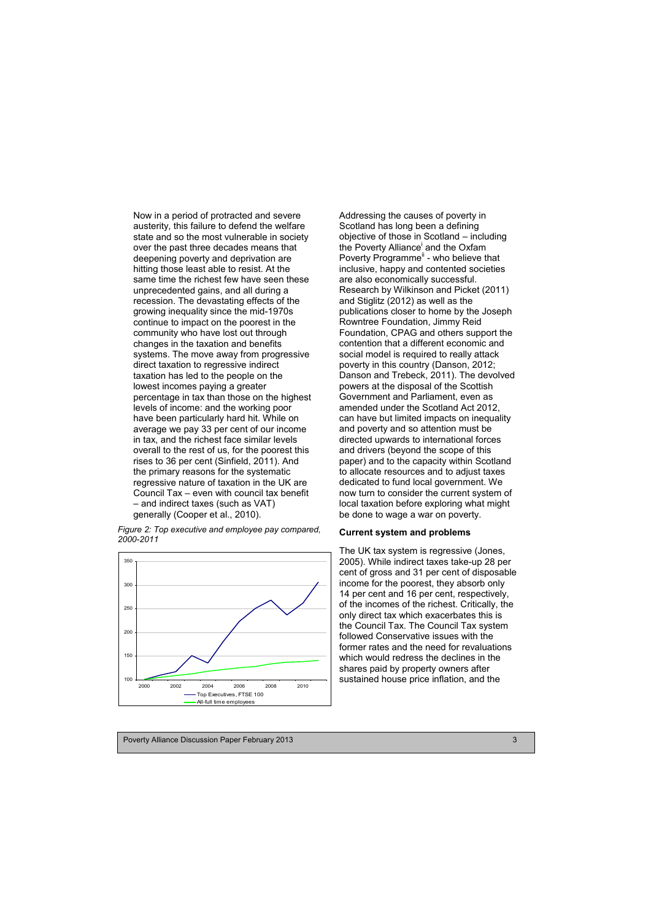Now in a period of protracted and severe austerity, this failure to defend the welfare state and so the most vulnerable in society over the past three decades means that deepening poverty and deprivation are hitting those least able to resist. At the same time the richest few have seen these unprecedented gains, and all during a recession. The devastating effects of the growing inequality since the mid-1970s continue to impact on the poorest in the community who have lost out through changes in the taxation and benefits systems. The move away from progressive direct taxation to regressive indirect taxation has led to the people on the lowest incomes paying a greater percentage in tax than those on the highest levels of income: and the working poor have been particularly hard hit. While on average we pay 33 per cent of our income in tax, and the richest face similar levels overall to the rest of us, for the poorest this rises to 36 per cent (Sinfield, 2011). And the primary reasons for the systematic regressive nature of taxation in the UK are Council Tax – even with council tax benefit – and indirect taxes (such as VAT) generally (Cooper et al., 2010).

*Figure 2: Top executive and employee pay compared, 2000-2011*



Addressing the causes of poverty in Scotland has long been a defining objective of those in Scotland – including the Poverty Alliance<sup>i</sup> and the Oxfam Poverty Programme<sup>ii</sup> - who believe that inclusive, happy and contented societies are also economically successful. Research by Wilkinson and Picket (2011) and Stiglitz (2012) as well as the publications closer to home by the Joseph Rowntree Foundation, Jimmy Reid Foundation, CPAG and others support the contention that a different economic and social model is required to really attack poverty in this country (Danson, 2012; Danson and Trebeck, 2011). The devolved powers at the disposal of the Scottish Government and Parliament, even as amended under the Scotland Act 2012, can have but limited impacts on inequality and poverty and so attention must be directed upwards to international forces and drivers (beyond the scope of this paper) and to the capacity within Scotland to allocate resources and to adjust taxes dedicated to fund local government. We now turn to consider the current system of local taxation before exploring what might be done to wage a war on poverty.

#### **Current system and problems**

The UK tax system is regressive (Jones, 2005). While indirect taxes take-up 28 per cent of gross and 31 per cent of disposable income for the poorest, they absorb only 14 per cent and 16 per cent, respectively, of the incomes of the richest. Critically, the only direct tax which exacerbates this is the Council Tax. The Council Tax system followed Conservative issues with the former rates and the need for revaluations which would redress the declines in the shares paid by property owners after sustained house price inflation, and the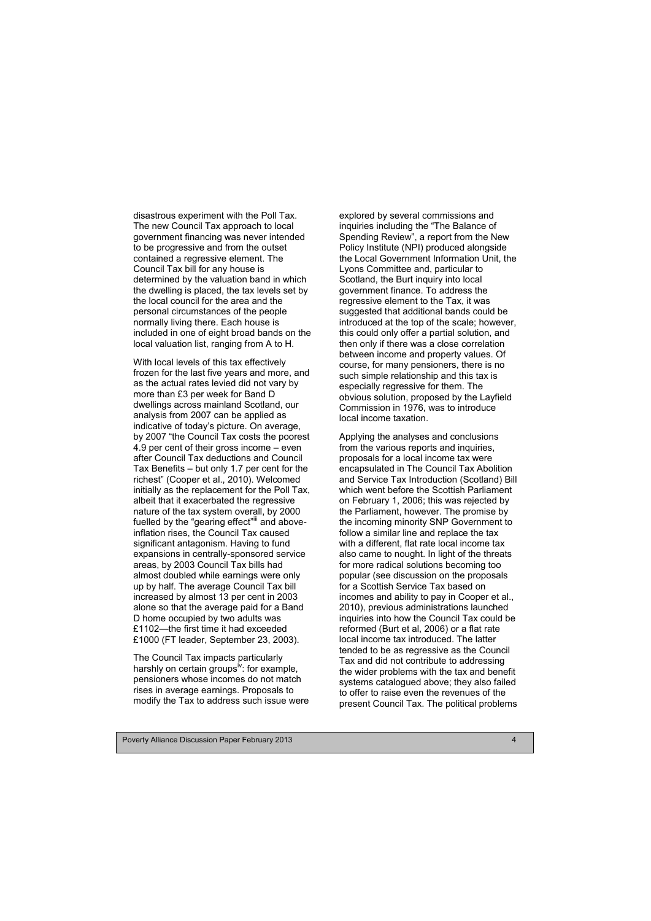disastrous experiment with the Poll Tax. The new Council Tax approach to local government financing was never intended to be progressive and from the outset contained a regressive element. The Council Tax bill for any house is determined by the valuation band in which the dwelling is placed, the tax levels set by the local council for the area and the personal circumstances of the people normally living there. Each house is included in one of eight broad bands on the local valuation list, ranging from A to H.

With local levels of this tax effectively frozen for the last five years and more, and as the actual rates levied did not vary by more than £3 per week for Band D dwellings across mainland Scotland, our analysis from 2007 can be applied as indicative of today's picture. On average, by 2007 "the Council Tax costs the poorest 4.9 per cent of their gross income – even after Council Tax deductions and Council Tax Benefits – but only 1.7 per cent for the richest" (Cooper et al., 2010). Welcomed initially as the replacement for the Poll Tax, albeit that it exacerbated the regressive nature of the tax system overall, by 2000 fuelled by the "gearing effect"<sup>iii</sup> and aboveinflation rises, the Council Tax caused significant antagonism. Having to fund expansions in centrally-sponsored service areas, by 2003 Council Tax bills had almost doubled while earnings were only up by half. The average Council Tax bill increased by almost 13 per cent in 2003 alone so that the average paid for a Band D home occupied by two adults was £1102—the first time it had exceeded £1000 (FT leader, September 23, 2003).

The Council Tax impacts particularly harshly on certain groups<sup>iv</sup>: for example, pensioners whose incomes do not match rises in average earnings. Proposals to modify the Tax to address such issue were explored by several commissions and inquiries including the "The Balance of Spending Review", a report from the New Policy Institute (NPI) produced alongside the Local Government Information Unit, the Lyons Committee and, particular to Scotland, the Burt inquiry into local government finance. To address the regressive element to the Tax, it was suggested that additional bands could be introduced at the top of the scale; however, this could only offer a partial solution, and then only if there was a close correlation between income and property values. Of course, for many pensioners, there is no such simple relationship and this tax is especially regressive for them. The obvious solution, proposed by the Layfield Commission in 1976, was to introduce local income taxation.

Applying the analyses and conclusions from the various reports and inquiries, proposals for a local income tax were encapsulated in The Council Tax Abolition and Service Tax Introduction (Scotland) Bill which went before the Scottish Parliament on February 1, 2006; this was rejected by the Parliament, however. The promise by the incoming minority SNP Government to follow a similar line and replace the tax with a different, flat rate local income tax also came to nought. In light of the threats for more radical solutions becoming too popular (see discussion on the proposals for a Scottish Service Tax based on incomes and ability to pay in Cooper et al., 2010), previous administrations launched inquiries into how the Council Tax could be reformed (Burt et al, 2006) or a flat rate local income tax introduced. The latter tended to be as regressive as the Council Tax and did not contribute to addressing the wider problems with the tax and benefit systems catalogued above; they also failed to offer to raise even the revenues of the present Council Tax. The political problems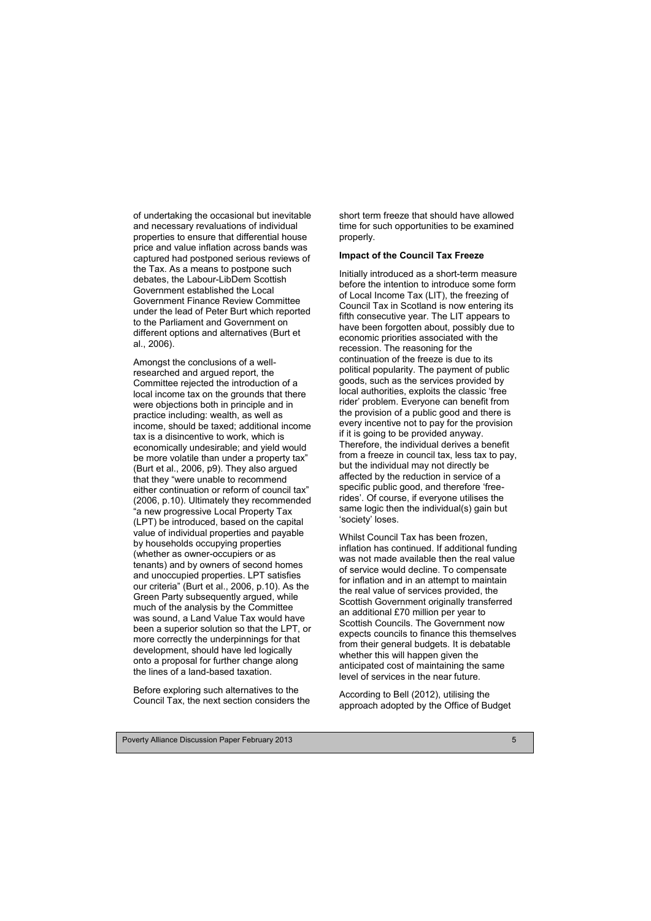of undertaking the occasional but inevitable and necessary revaluations of individual properties to ensure that differential house price and value inflation across bands was captured had postponed serious reviews of the Tax. As a means to postpone such debates, the Labour-LibDem Scottish Government established the Local Government Finance Review Committee under the lead of Peter Burt which reported to the Parliament and Government on different options and alternatives (Burt et al., 2006).

Amongst the conclusions of a wellresearched and argued report, the Committee rejected the introduction of a local income tax on the grounds that there were objections both in principle and in practice including: wealth, as well as income, should be taxed; additional income tax is a disincentive to work, which is economically undesirable; and yield would be more volatile than under a property tax" (Burt et al., 2006, p9). They also argued that they "were unable to recommend either continuation or reform of council tax" (2006, p.10). Ultimately they recommended "a new progressive Local Property Tax (LPT) be introduced, based on the capital value of individual properties and payable by households occupying properties (whether as owner-occupiers or as tenants) and by owners of second homes and unoccupied properties. LPT satisfies our criteria" (Burt et al., 2006, p.10). As the Green Party subsequently argued, while much of the analysis by the Committee was sound, a Land Value Tax would have been a superior solution so that the LPT, or more correctly the underpinnings for that development, should have led logically onto a proposal for further change along the lines of a land-based taxation.

Before exploring such alternatives to the Council Tax, the next section considers the short term freeze that should have allowed time for such opportunities to be examined properly.

#### **Impact of the Council Tax Freeze**

Initially introduced as a short-term measure before the intention to introduce some form of Local Income Tax (LIT), the freezing of Council Tax in Scotland is now entering its fifth consecutive year. The LIT appears to have been forgotten about, possibly due to economic priorities associated with the recession. The reasoning for the continuation of the freeze is due to its political popularity. The payment of public goods, such as the services provided by local authorities, exploits the classic 'free rider' problem. Everyone can benefit from the provision of a public good and there is every incentive not to pay for the provision if it is going to be provided anyway. Therefore, the individual derives a benefit from a freeze in council tax, less tax to pay, but the individual may not directly be affected by the reduction in service of a specific public good, and therefore 'freerides'. Of course, if everyone utilises the same logic then the individual(s) gain but 'society' loses.

Whilst Council Tax has been frozen. inflation has continued. If additional funding was not made available then the real value of service would decline. To compensate for inflation and in an attempt to maintain the real value of services provided, the Scottish Government originally transferred an additional £70 million per year to Scottish Councils. The Government now expects councils to finance this themselves from their general budgets. It is debatable whether this will happen given the anticipated cost of maintaining the same level of services in the near future.

According to Bell (2012), utilising the approach adopted by the Office of Budget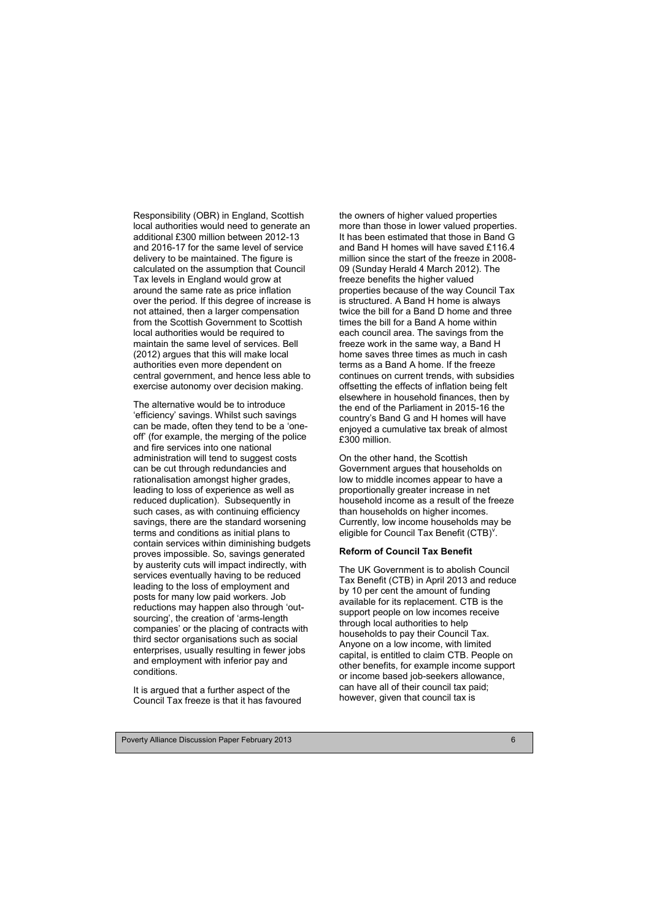Responsibility (OBR) in England, Scottish local authorities would need to generate an additional £300 million between 2012-13 and 2016-17 for the same level of service delivery to be maintained. The figure is calculated on the assumption that Council Tax levels in England would grow at around the same rate as price inflation over the period. If this degree of increase is not attained, then a larger compensation from the Scottish Government to Scottish local authorities would be required to maintain the same level of services. Bell (2012) argues that this will make local authorities even more dependent on central government, and hence less able to exercise autonomy over decision making.

The alternative would be to introduce 'efficiency' savings. Whilst such savings can be made, often they tend to be a 'oneoff' (for example, the merging of the police and fire services into one national administration will tend to suggest costs can be cut through redundancies and rationalisation amongst higher grades, leading to loss of experience as well as reduced duplication). Subsequently in such cases, as with continuing efficiency savings, there are the standard worsening terms and conditions as initial plans to contain services within diminishing budgets proves impossible. So, savings generated by austerity cuts will impact indirectly, with services eventually having to be reduced leading to the loss of employment and posts for many low paid workers. Job reductions may happen also through 'outsourcing', the creation of 'arms-length companies' or the placing of contracts with third sector organisations such as social enterprises, usually resulting in fewer jobs and employment with inferior pay and conditions.

It is argued that a further aspect of the Council Tax freeze is that it has favoured the owners of higher valued properties more than those in lower valued properties. It has been estimated that those in Band G and Band H homes will have saved £116.4 million since the start of the freeze in 2008- 09 (Sunday Herald 4 March 2012). The freeze benefits the higher valued properties because of the way Council Tax is structured. A Band H home is always twice the bill for a Band D home and three times the bill for a Band A home within each council area. The savings from the freeze work in the same way, a Band H home saves three times as much in cash terms as a Band A home. If the freeze continues on current trends, with subsidies offsetting the effects of inflation being felt elsewhere in household finances, then by the end of the Parliament in 2015-16 the country's Band G and H homes will have enjoyed a cumulative tax break of almost £300 million.

On the other hand, the Scottish Government argues that households on low to middle incomes appear to have a proportionally greater increase in net household income as a result of the freeze than households on higher incomes. Currently, low income households may be eligible for Council Tax Benefit (CTB)<sup>V</sup>.

## **Reform of Council Tax Benefit**

The UK Government is to abolish Council Tax Benefit (CTB) in April 2013 and reduce by 10 per cent the amount of funding available for its replacement. CTB is the support people on low incomes receive through local authorities to help households to pay their Council Tax. Anyone on a low income, with limited capital, is entitled to claim CTB. People on other benefits, for example income support or income based job-seekers allowance, can have all of their council tax paid; however, given that council tax is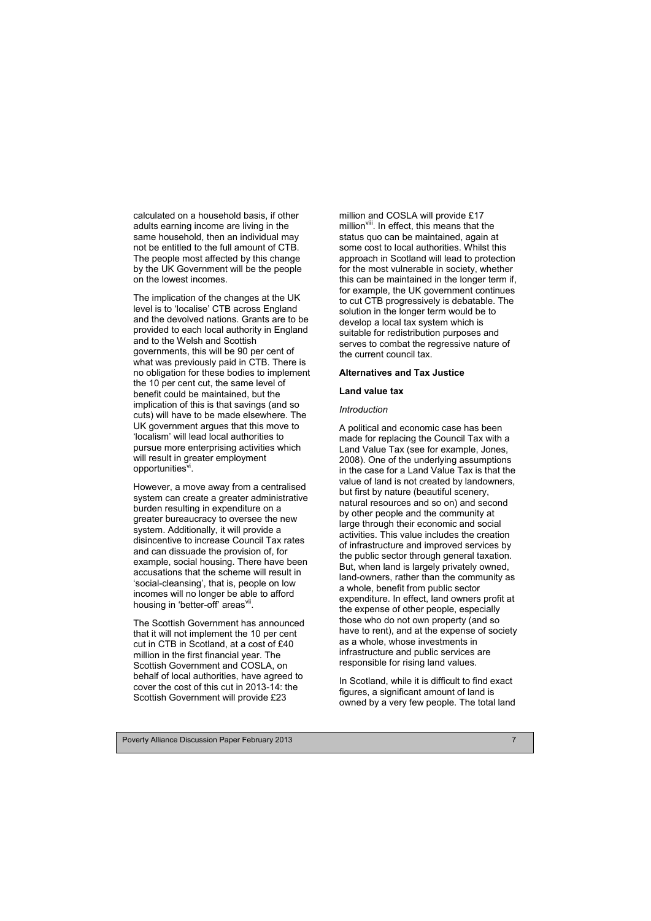calculated on a household basis, if other adults earning income are living in the same household, then an individual may not be entitled to the full amount of CTB. The people most affected by this change by the UK Government will be the people on the lowest incomes.

The implication of the changes at the UK level is to 'localise' CTB across England and the devolved nations. Grants are to be provided to each local authority in England and to the Welsh and Scottish governments, this will be 90 per cent of what was previously paid in CTB. There is no obligation for these bodies to implement the 10 per cent cut, the same level of benefit could be maintained, but the implication of this is that savings (and so cuts) will have to be made elsewhere. The UK government argues that this move to 'localism' will lead local authorities to pursue more enterprising activities which will result in greater employment opportunities<sup>vi</sup>.

However, a move away from a centralised system can create a greater administrative burden resulting in expenditure on a greater bureaucracy to oversee the new system. Additionally, it will provide a disincentive to increase Council Tax rates and can dissuade the provision of, for example, social housing. There have been accusations that the scheme will result in 'social-cleansing', that is, people on low incomes will no longer be able to afford housing in 'better-off' areas<sup>vii</sup>.

The Scottish Government has announced that it will not implement the 10 per cent cut in CTB in Scotland, at a cost of £40 million in the first financial year. The Scottish Government and COSLA, on behalf of local authorities, have agreed to cover the cost of this cut in 2013-14: the Scottish Government will provide £23

million and COSLA will provide £17 million<sup>viii</sup>. In effect, this means that the status quo can be maintained, again at some cost to local authorities. Whilst this approach in Scotland will lead to protection for the most vulnerable in society, whether this can be maintained in the longer term if, for example, the UK government continues to cut CTB progressively is debatable. The solution in the longer term would be to develop a local tax system which is suitable for redistribution purposes and serves to combat the regressive nature of the current council tax.

## **Alternatives and Tax Justice**

## **Land value tax**

## *Introduction*

A political and economic case has been made for replacing the Council Tax with a Land Value Tax (see for example, Jones, 2008). One of the underlying assumptions in the case for a Land Value Tax is that the value of land is not created by landowners, but first by nature (beautiful scenery, natural resources and so on) and second by other people and the community at large through their economic and social activities. This value includes the creation of infrastructure and improved services by the public sector through general taxation. But, when land is largely privately owned, land-owners, rather than the community as a whole, benefit from public sector expenditure. In effect, land owners profit at the expense of other people, especially those who do not own property (and so have to rent), and at the expense of society as a whole, whose investments in infrastructure and public services are responsible for rising land values.

In Scotland, while it is difficult to find exact figures, a significant amount of land is owned by a very few people. The total land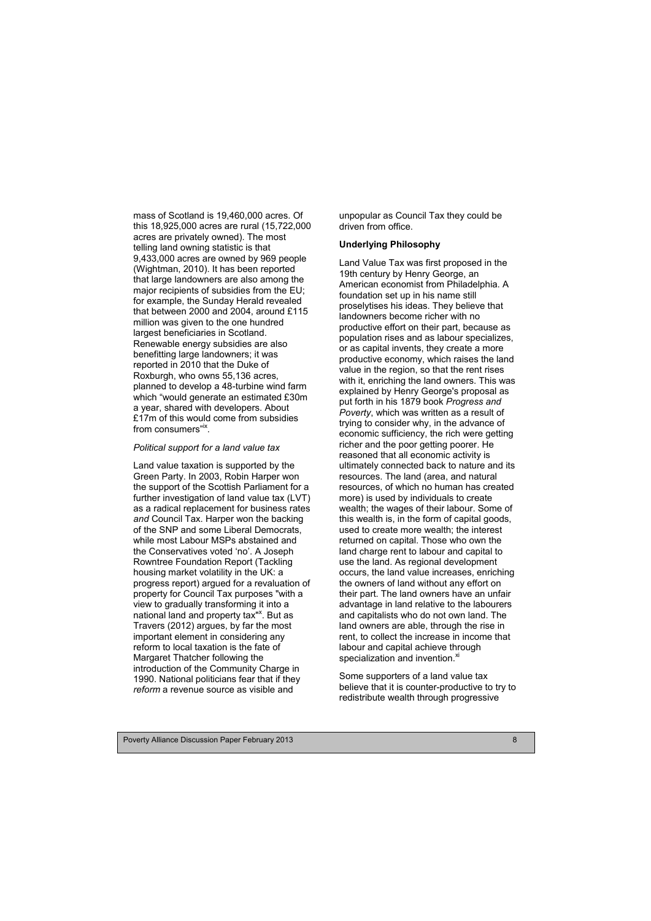mass of Scotland is 19,460,000 acres. Of this 18,925,000 acres are rural (15,722,000 acres are privately owned). The most telling land owning statistic is that 9,433,000 acres are owned by 969 people (Wightman, 2010). It has been reported that large landowners are also among the major recipients of subsidies from the EU; for example, the Sunday Herald revealed that between 2000 and 2004, around £115 million was given to the one hundred largest beneficiaries in Scotland. Renewable energy subsidies are also benefitting large landowners; it was reported in 2010 that the Duke of Roxburgh, who owns 55,136 acres, planned to develop a 48-turbine wind farm which "would generate an estimated £30m a year, shared with developers. About £17m of this would come from subsidies from consumers"ix.

## *Political support for a land value tax*

Land value taxation is supported by the Green Party. In 2003, Robin Harper won the support of the Scottish Parliament for a further investigation of land value tax (LVT) as a radical replacement for business rates *and* Council Tax. Harper won the backing of the SNP and some Liberal Democrats, while most Labour MSPs abstained and the Conservatives voted 'no'. A Joseph Rowntree Foundation Report (Tackling housing market volatility in the UK: a progress report) argued for a revaluation of property for Council Tax purposes "with a view to gradually transforming it into a national land and property tax"<sup>x</sup>. But as Travers (2012) argues, by far the most important element in considering any reform to local taxation is the fate of Margaret Thatcher following the introduction of the Community Charge in 1990. National politicians fear that if they *reform* a revenue source as visible and

unpopular as Council Tax they could be driven from office.

#### **Underlying Philosophy**

Land Value Tax was first proposed in the 19th century by Henry George, an American economist from Philadelphia. A foundation set up in his name still proselytises his ideas. They believe that landowners become richer with no productive effort on their part, because as population rises and as labour specializes, or as capital invents, they create a more productive economy, which raises the land value in the region, so that the rent rises with it, enriching the land owners. This was explained by Henry George's proposal as put forth in his 1879 book *Progress and Poverty*, which was written as a result of trying to consider why, in the advance of economic sufficiency, the rich were getting richer and the poor getting poorer. He reasoned that all economic activity is ultimately connected back to nature and its resources. The land (area, and natural resources, of which no human has created more) is used by individuals to create wealth; the wages of their labour. Some of this wealth is, in the form of capital goods, used to create more wealth; the interest returned on capital. Those who own the land charge rent to labour and capital to use the land. As regional development occurs, the land value increases, enriching the owners of land without any effort on their part. The land owners have an unfair advantage in land relative to the labourers and capitalists who do not own land. The land owners are able, through the rise in rent, to collect the increase in income that labour and capital achieve through specialization and invention.<sup>xi</sup>

Some supporters of a land value tax believe that it is counter-productive to try to redistribute wealth through progressive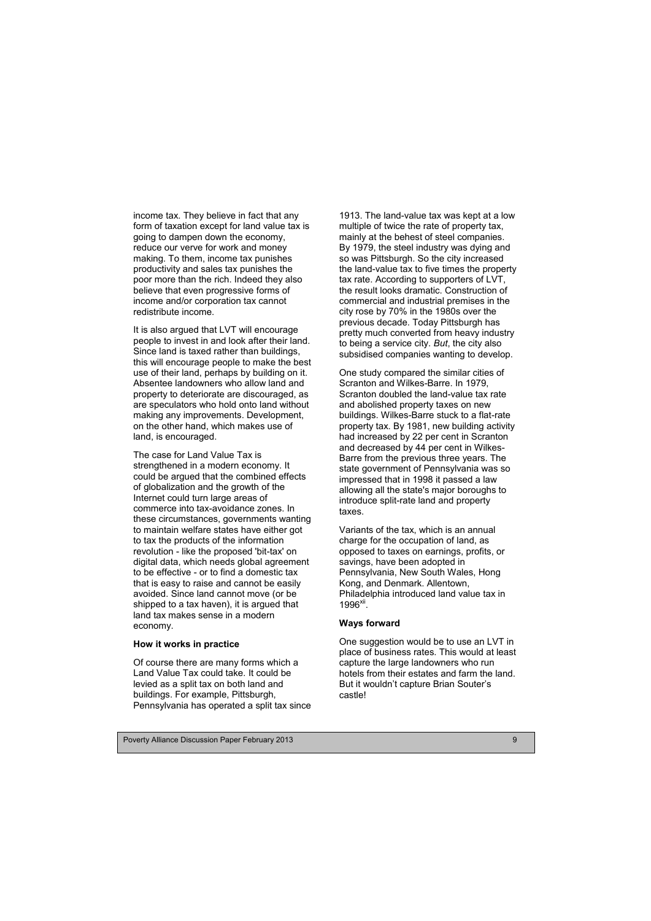income tax. They believe in fact that any form of taxation except for land value tax is going to dampen down the economy, reduce our verve for work and money making. To them, income tax punishes productivity and sales tax punishes the poor more than the rich. Indeed they also believe that even progressive forms of income and/or corporation tax cannot redistribute income.

It is also argued that LVT will encourage people to invest in and look after their land. Since land is taxed rather than buildings, this will encourage people to make the best use of their land, perhaps by building on it. Absentee landowners who allow land and property to deteriorate are discouraged, as are speculators who hold onto land without making any improvements. Development, on the other hand, which makes use of land, is encouraged.

The case for Land Value Tax is strengthened in a modern economy. It could be argued that the combined effects of globalization and the growth of the Internet could turn large areas of commerce into tax-avoidance zones. In these circumstances, governments wanting to maintain welfare states have either got to tax the products of the information revolution - like the proposed 'bit-tax' on digital data, which needs global agreement to be effective - or to find a domestic tax that is easy to raise and cannot be easily avoided. Since land cannot move (or be shipped to a tax haven), it is argued that land tax makes sense in a modern economy.

## **How it works in practice**

Of course there are many forms which a Land Value Tax could take*.* It could be levied as a split tax on both land and buildings. For example, Pittsburgh, Pennsylvania has operated a split tax since 1913. The land-value tax was kept at a low multiple of twice the rate of property tax, mainly at the behest of steel companies. By 1979, the steel industry was dying and so was Pittsburgh. So the city increased the land-value tax to five times the property tax rate. According to supporters of LVT, the result looks dramatic. Construction of commercial and industrial premises in the city rose by 70% in the 1980s over the previous decade. Today Pittsburgh has pretty much converted from heavy industry to being a service city. *But*, the city also subsidised companies wanting to develop.

One study compared the similar cities of Scranton and Wilkes-Barre. In 1979, Scranton doubled the land-value tax rate and abolished property taxes on new buildings. Wilkes-Barre stuck to a flat-rate property tax. By 1981, new building activity had increased by 22 per cent in Scranton and decreased by 44 per cent in Wilkes-Barre from the previous three years. The state government of Pennsylvania was so impressed that in 1998 it passed a law allowing all the state's major boroughs to introduce split-rate land and property taxes.

Variants of the tax, which is an annual charge for the occupation of land, as opposed to taxes on earnings, profits, or savings, have been adopted in Pennsylvania, New South Wales, Hong Kong, and Denmark. Allentown, Philadelphia introduced land value tax in  $1996$ <sup>xii</sup>.

## **Ways forward**

One suggestion would be to use an LVT in place of business rates. This would at least capture the large landowners who run hotels from their estates and farm the land. But it wouldn't capture Brian Souter's castle!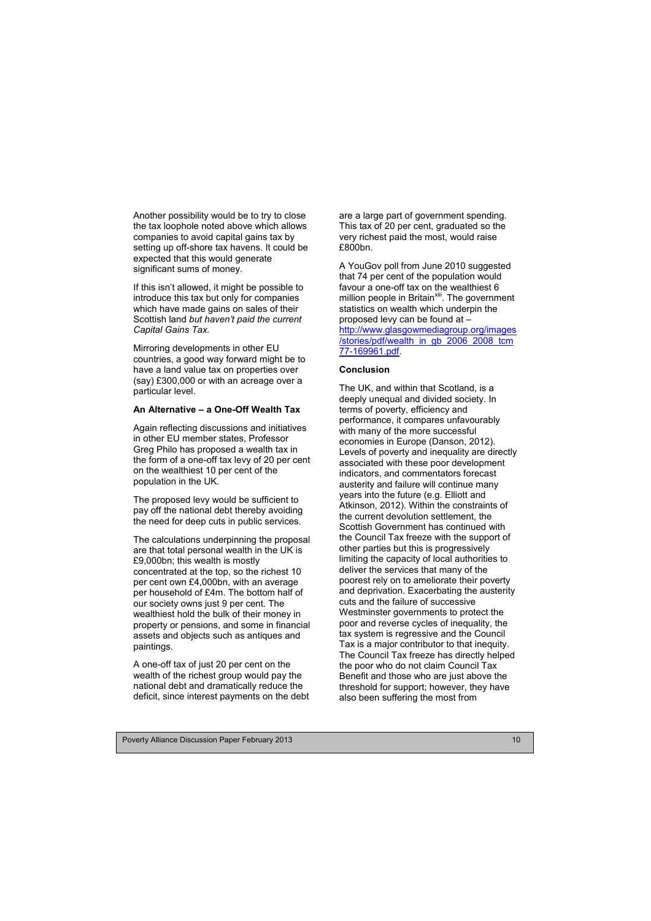Another possibility would be to try to close the tax loophole noted above which allows companies to avoid capital gains tax by setting up off-shore tax havens. It could be expected that this would generate significant sums of money.

If this isn't allowed, it might be possible to introduce this tax but only for companies which have made gains on sales of their Scottish land *but haven't paid the current Capital Gains Tax.* 

Mirroring developments in other EU countries, a good way forward might be to have a land value tax on properties over (say) £300,000 or with an acreage over a particular level.

# **An Alternative – a One-Off Wealth Tax**

Again reflecting discussions and initiatives in other EU member states, Professor Greg Philo has proposed a wealth tax in the form of a one-off tax levy of 20 per cent on the wealthiest 10 per cent of the population in the UK.

The proposed levy would be sufficient to pay off the national debt thereby avoiding the need for deep cuts in public services.

The calculations underpinning the proposal are that total personal wealth in the UK is £9,000bn; this wealth is mostly concentrated at the top, so the richest 10 per cent own £4,000bn, with an average per household of £4m. The bottom half of our society owns just 9 per cent. The wealthiest hold the bulk of their money in property or pensions, and some in financial assets and objects such as antiques and paintings.

A one-off tax of just 20 per cent on the wealth of the richest group would pay the national debt and dramatically reduce the deficit, since interest payments on the debt are a large part of government spending. This tax of 20 per cent, graduated so the very richest paid the most, would raise £800bn.

A YouGov poll from June 2010 suggested that 74 per cent of the population would favour a one-off tax on the wealthiest 6 million people in Britain<sup>xiii</sup>. The government statistics on wealth which underpin the proposed levy can be found at – [http://www.glasgowmediagroup.org/images](http://www.glasgowmediagroup.org/images/stories/pdf/wealth_in_gb_2006_2008_tcm77-169961.pdf) [/stories/pdf/wealth\\_in\\_gb\\_2006\\_2008\\_tcm](http://www.glasgowmediagroup.org/images/stories/pdf/wealth_in_gb_2006_2008_tcm77-169961.pdf) [77-169961.pdf.](http://www.glasgowmediagroup.org/images/stories/pdf/wealth_in_gb_2006_2008_tcm77-169961.pdf)

# **Conclusion**

The UK, and within that Scotland, is a deeply unequal and divided society. In terms of poverty, efficiency and performance, it compares unfavourably with many of the more successful economies in Europe (Danson, 2012). Levels of poverty and inequality are directly associated with these poor development indicators, and commentators forecast austerity and failure will continue many years into the future (e.g. Elliott and Atkinson, 2012). Within the constraints of the current devolution settlement, the Scottish Government has continued with the Council Tax freeze with the support of other parties but this is progressively limiting the capacity of local authorities to deliver the services that many of the poorest rely on to ameliorate their poverty and deprivation. Exacerbating the austerity cuts and the failure of successive Westminster governments to protect the poor and reverse cycles of inequality, the tax system is regressive and the Council Tax is a major contributor to that inequity. The Council Tax freeze has directly helped the poor who do not claim Council Tax Benefit and those who are just above the threshold for support; however, they have also been suffering the most from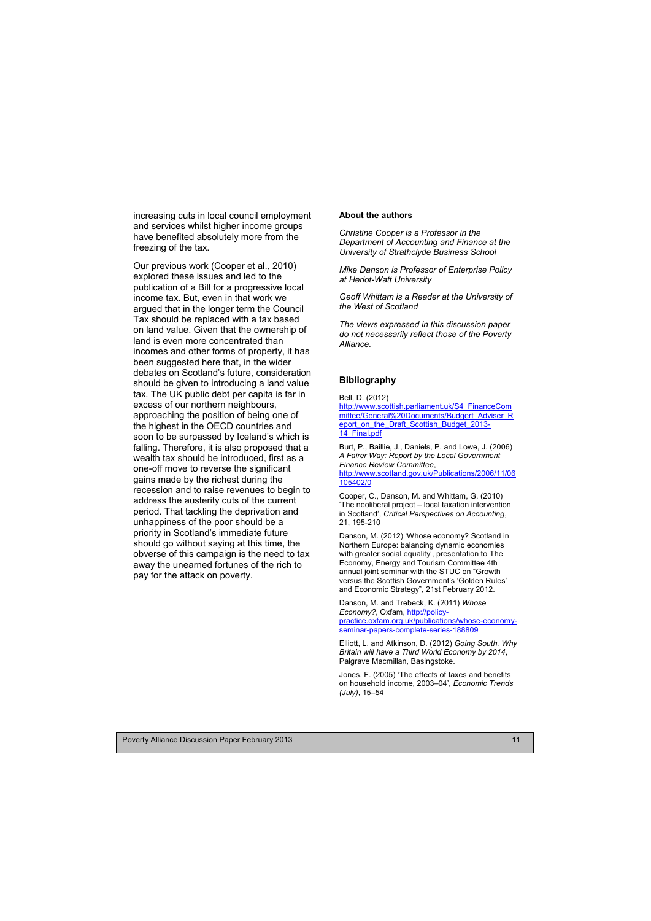increasing cuts in local council employment and services whilst higher income groups have benefited absolutely more from the freezing of the tax.

Our previous work (Cooper et al., 2010) explored these issues and led to the publication of a Bill for a progressive local income tax. But, even in that work we argued that in the longer term the Council Tax should be replaced with a tax based on land value. Given that the ownership of land is even more concentrated than incomes and other forms of property, it has been suggested here that, in the wider debates on Scotland's future, consideration should be given to introducing a land value tax. The UK public debt per capita is far in excess of our northern neighbours, approaching the position of being one of the highest in the OECD countries and soon to be surpassed by Iceland's which is falling. Therefore, it is also proposed that a wealth tax should be introduced, first as a one-off move to reverse the significant gains made by the richest during the recession and to raise revenues to begin to address the austerity cuts of the current period. That tackling the deprivation and unhappiness of the poor should be a priority in Scotland's immediate future should go without saying at this time, the obverse of this campaign is the need to tax away the unearned fortunes of the rich to pay for the attack on poverty.

#### **About the authors**

*Christine Cooper is a Professor in the Department of Accounting and Finance at the University of Strathclyde Business School* 

*Mike Danson is Professor of Enterprise Policy at Heriot-Watt University* 

*Geoff Whittam is a Reader at the University of the West of Scotland* 

*The views expressed in this discussion paper do not necessarily reflect those of the Poverty Alliance.* 

#### **Bibliography**

Bell, D. (2012)

[http://www.scottish.parliament.uk/S4\\_FinanceCom](http://www.scottish.parliament.uk/S4_FinanceCommittee/General%20Documents/Budgert_Adviser_Report_on_the_Draft_Scottish_Budget_2013-14_Final.pdf) [mittee/General%20Documents/Budgert\\_Adviser\\_R](http://www.scottish.parliament.uk/S4_FinanceCommittee/General%20Documents/Budgert_Adviser_Report_on_the_Draft_Scottish_Budget_2013-14_Final.pdf) eport on the Draft Scottish Budget 2013-[14\\_Final.pdf](http://www.scottish.parliament.uk/S4_FinanceCommittee/General%20Documents/Budgert_Adviser_Report_on_the_Draft_Scottish_Budget_2013-14_Final.pdf) 

Burt, P., Baillie, J., Daniels, P. and Lowe, J. (2006) *A Fairer Way: Report by the Local Government Finance Review Committee*, [http://www.scotland.gov.uk/Publications/2006/11/06](http://www.scotland.gov.uk/Publications/2006/11/06105402/0) [105402/0](http://www.scotland.gov.uk/Publications/2006/11/06105402/0) 

Cooper, C., Danson, M. and Whittam, G. (2010) 'The neoliberal project – local taxation intervention in Scotland', *Critical Perspectives on Accounting*, 21, 195-210

Danson, M. (2012) 'Whose economy? Scotland in Northern Europe: balancing dynamic economies with greater social equality', presentation to The Economy, Energy and Tourism Committee 4th annual joint seminar with the STUC on "Growth versus the Scottish Government's 'Golden Rules' and Economic Strategy", 21st February 2012.

Danson, M. and Trebeck, K. (2011) *Whose Economy?*, Oxfam, [http://policy](http://policy-practice.oxfam.org.uk/publications/whose-economy-seminar-papers-complete-series-188809)[practice.oxfam.org.uk/publications/whose-economy](http://policy-practice.oxfam.org.uk/publications/whose-economy-seminar-papers-complete-series-188809)[seminar-papers-complete-series-188809](http://policy-practice.oxfam.org.uk/publications/whose-economy-seminar-papers-complete-series-188809) 

Elliott, L. and Atkinson, D. (2012) *Going South. Why Britain will have a Third World Economy by 2014*, Palgrave Macmillan, Basingstoke.

Jones, F. (2005) 'The effects of taxes and benefits on household income, 2003–04', *Economic Trends (July)*, 15–54